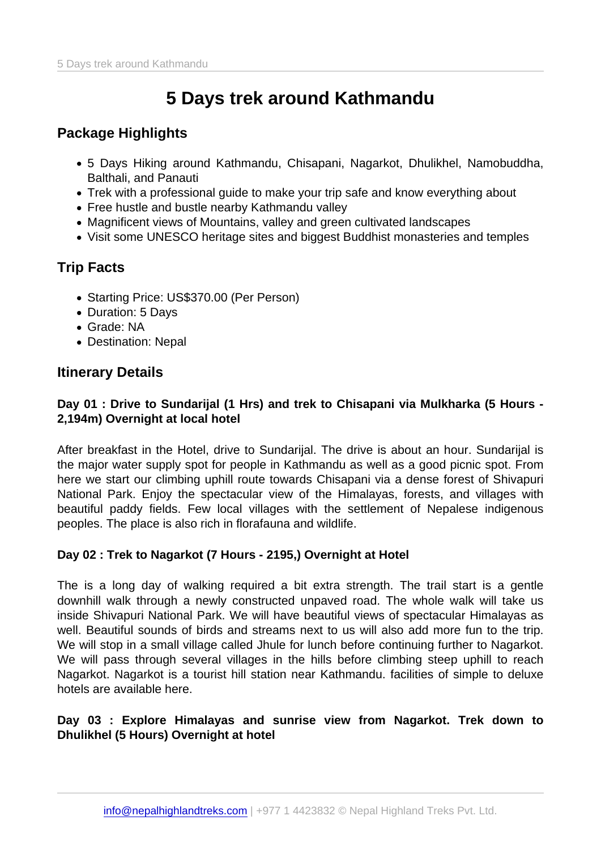# 5 Days trek around Kathmandu

## Package Highlights

- 5 Days Hiking around Kathmandu, Chisapani, Nagarkot, Dhulikhel, Namobuddha, Balthali, and Panauti
- Trek with a professional guide to make your trip safe and know everything about
- Free hustle and bustle nearby Kathmandu valley
- Magnificent views of Mountains, valley and green cultivated landscapes
- Visit some UNESCO heritage sites and biggest Buddhist monasteries and temples

## Trip Facts

- Starting Price: US\$370.00 (Per Person)
- Duration: 5 Days
- Grade: NA
- Destination: Nepal

## Itinerary Details

Day 01 : Drive to Sundarijal (1 Hrs) and trek to Chisapani via Mulkharka (5 Hours - 2,194m) Overnight at local hotel

After breakfast in the Hotel, drive to Sundarijal. The drive is about an hour. Sundarijal is the major water supply spot for people in Kathmandu as well as a good picnic spot. From here we start our climbing uphill route towards Chisapani via a dense forest of Shivapuri National Park. Enjoy the spectacular view of the Himalayas, forests, and villages with beautiful paddy fields. Few local villages with the settlement of Nepalese indigenous peoples. The place is also rich in florafauna and wildlife.

Day 02 : Trek to Nagarkot (7 Hours - 2195,) Overnight at Hotel

The is a long day of walking required a bit extra strength. The trail start is a gentle downhill walk through a newly constructed unpaved road. The whole walk will take us inside Shivapuri National Park. We will have beautiful views of spectacular Himalayas as well. Beautiful sounds of birds and streams next to us will also add more fun to the trip. We will stop in a small village called Jhule for lunch before continuing further to Nagarkot. We will pass through several villages in the hills before climbing steep uphill to reach Nagarkot. Nagarkot is a tourist hill station near Kathmandu. facilities of simple to deluxe hotels are available here.

Day 03 : Explore Himalayas and sunrise view from Nagarkot. Trek down to Dhulikhel (5 Hours) Overnight at hotel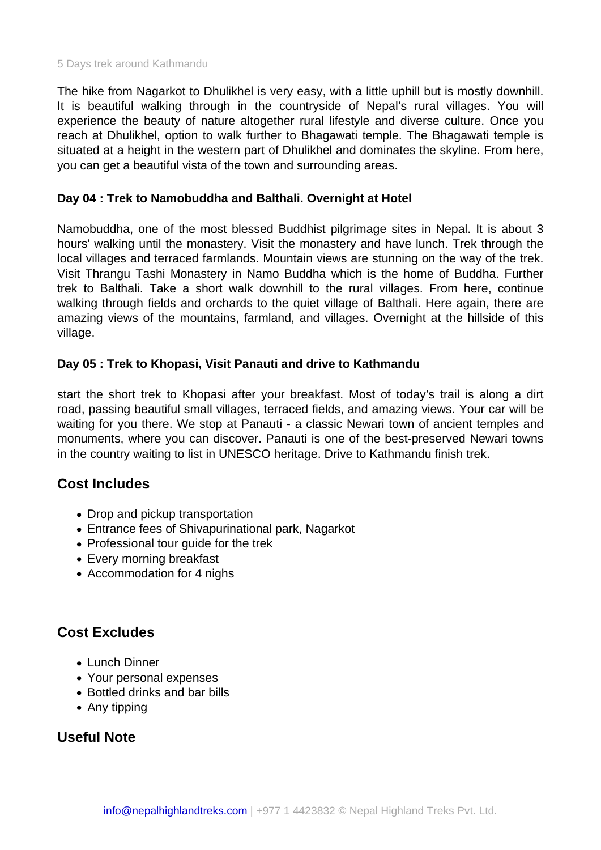The hike from Nagarkot to Dhulikhel is very easy, with a little uphill but is mostly downhill. It is beautiful walking through in the countryside of Nepal's rural villages. You will experience the beauty of nature altogether rural lifestyle and diverse culture. Once you reach at Dhulikhel, option to walk further to Bhagawati temple. The Bhagawati temple is situated at a height in the western part of Dhulikhel and dominates the skyline. From here, you can get a beautiful vista of the town and surrounding areas.

#### Day 04 : Trek to Namobuddha and Balthali. Overnight at Hotel

Namobuddha, one of the most blessed Buddhist pilgrimage sites in Nepal. It is about 3 hours' walking until the monastery. Visit the monastery and have lunch. Trek through the local villages and terraced farmlands. Mountain views are stunning on the way of the trek. Visit Thrangu Tashi Monastery in Namo Buddha which is the home of Buddha. Further trek to Balthali. Take a short walk downhill to the rural villages. From here, continue walking through fields and orchards to the quiet village of Balthali. Here again, there are amazing views of the mountains, farmland, and villages. Overnight at the hillside of this village.

Day 05 : Trek to Khopasi, Visit Panauti and drive to Kathmandu

start the short trek to Khopasi after your breakfast. Most of today's trail is along a dirt road, passing beautiful small villages, terraced fields, and amazing views. Your car will be waiting for you there. We stop at Panauti - a classic Newari town of ancient temples and monuments, where you can discover. Panauti is one of the best-preserved Newari towns in the country waiting to list in UNESCO heritage. Drive to Kathmandu finish trek.

#### Cost Includes

- Drop and pickup transportation
- Entrance fees of Shivapurinational park, Nagarkot
- Professional tour guide for the trek
- Every morning breakfast
- Accommodation for 4 nighs

## Cost Excludes

- Lunch Dinner
- Your personal expenses
- Bottled drinks and bar bills
- Any tipping

### Useful Note